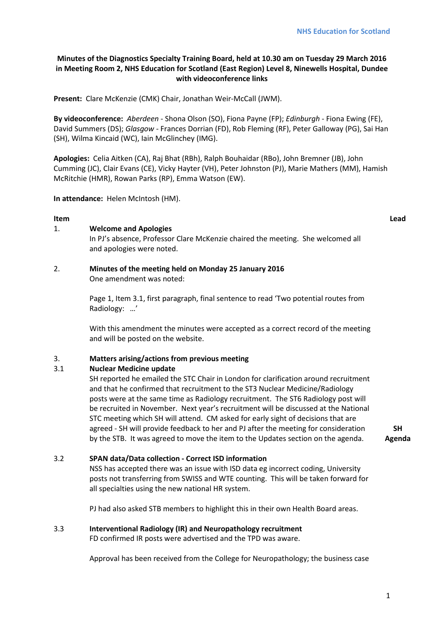# **Minutes of the Diagnostics Specialty Training Board, held at 10.30 am on Tuesday 29 March 2016 in Meeting Room 2, NHS Education for Scotland (East Region) Level 8, Ninewells Hospital, Dundee with videoconference links**

**Present:** Clare McKenzie (CMK) Chair, Jonathan Weir-McCall (JWM).

**By videoconference:** *Aberdeen* - Shona Olson (SO), Fiona Payne (FP); *Edinburgh -* Fiona Ewing (FE), David Summers (DS); *Glasgow -* Frances Dorrian (FD), Rob Fleming (RF), Peter Galloway (PG), Sai Han (SH), Wilma Kincaid (WC), Iain McGlinchey (IMG).

**Apologies:** Celia Aitken (CA), Raj Bhat (RBh), Ralph Bouhaidar (RBo), John Bremner (JB), John Cumming (JC), Clair Evans (CE), Vicky Hayter (VH), Peter Johnston (PJ), Marie Mathers (MM), Hamish McRitchie (HMR), Rowan Parks (RP), Emma Watson (EW).

**In attendance:** Helen McIntosh (HM).

## **Item Lead**

### 1. **Welcome and Apologies**

In PJ's absence, Professor Clare McKenzie chaired the meeting. She welcomed all and apologies were noted.

#### 2. **Minutes of the meeting held on Monday 25 January 2016** One amendment was noted:

Page 1, Item 3.1, first paragraph, final sentence to read 'Two potential routes from Radiology: …'

With this amendment the minutes were accepted as a correct record of the meeting and will be posted on the website.

### 3. **Matters arising/actions from previous meeting**

### 3.1 **Nuclear Medicine update**

SH reported he emailed the STC Chair in London for clarification around recruitment and that he confirmed that recruitment to the ST3 Nuclear Medicine/Radiology posts were at the same time as Radiology recruitment. The ST6 Radiology post will be recruited in November. Next year's recruitment will be discussed at the National STC meeting which SH will attend. CM asked for early sight of decisions that are agreed - SH will provide feedback to her and PJ after the meeting for consideration by the STB. It was agreed to move the item to the Updates section on the agenda.

**SH Agenda**

# 3.2 **SPAN data/Data collection - Correct ISD information**

NSS has accepted there was an issue with ISD data eg incorrect coding, University posts not transferring from SWISS and WTE counting. This will be taken forward for all specialties using the new national HR system.

PJ had also asked STB members to highlight this in their own Health Board areas.

### 3.3 **Interventional Radiology (IR) and Neuropathology recruitment**

FD confirmed IR posts were advertised and the TPD was aware.

Approval has been received from the College for Neuropathology; the business case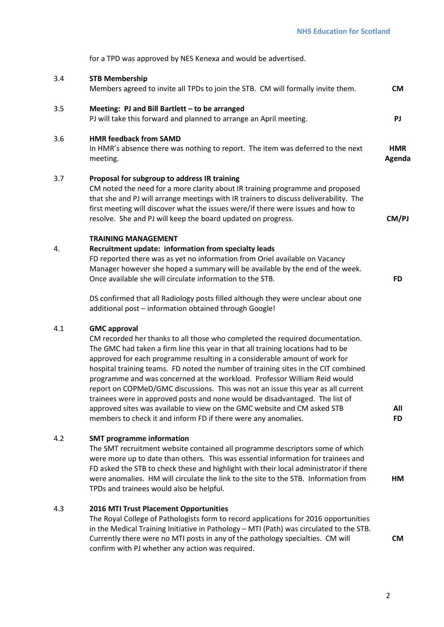for a TPD was approved by NES Kenexa and would be advertised.

| 3.4 | <b>STB Membership</b><br>Members agreed to invite all TPDs to join the STB. CM will formally invite them.                                                                                                                                                                                                                                                                                                                                                                                                                                                                                                                                                                                                                                                   | <b>CM</b>            |
|-----|-------------------------------------------------------------------------------------------------------------------------------------------------------------------------------------------------------------------------------------------------------------------------------------------------------------------------------------------------------------------------------------------------------------------------------------------------------------------------------------------------------------------------------------------------------------------------------------------------------------------------------------------------------------------------------------------------------------------------------------------------------------|----------------------|
| 3.5 | Meeting: PJ and Bill Bartlett - to be arranged<br>PJ will take this forward and planned to arrange an April meeting.                                                                                                                                                                                                                                                                                                                                                                                                                                                                                                                                                                                                                                        | PJ                   |
| 3.6 | <b>HMR feedback from SAMD</b><br>In HMR's absence there was nothing to report. The item was deferred to the next<br>meeting.                                                                                                                                                                                                                                                                                                                                                                                                                                                                                                                                                                                                                                | <b>HMR</b><br>Agenda |
| 3.7 | Proposal for subgroup to address IR training<br>CM noted the need for a more clarity about IR training programme and proposed<br>that she and PJ will arrange meetings with IR trainers to discuss deliverability. The<br>first meeting will discover what the issues were/if there were issues and how to<br>resolve. She and PJ will keep the board updated on progress.                                                                                                                                                                                                                                                                                                                                                                                  | CM/PJ                |
| 4.  | <b>TRAINING MANAGEMENT</b><br>Recruitment update: information from specialty leads<br>FD reported there was as yet no information from Oriel available on Vacancy<br>Manager however she hoped a summary will be available by the end of the week.<br>Once available she will circulate information to the STB.                                                                                                                                                                                                                                                                                                                                                                                                                                             | <b>FD</b>            |
|     | DS confirmed that all Radiology posts filled although they were unclear about one<br>additional post - information obtained through Google!                                                                                                                                                                                                                                                                                                                                                                                                                                                                                                                                                                                                                 |                      |
| 4.1 | <b>GMC approval</b><br>CM recorded her thanks to all those who completed the required documentation.<br>The GMC had taken a firm line this year in that all training locations had to be<br>approved for each programme resulting in a considerable amount of work for<br>hospital training teams. FD noted the number of training sites in the CIT combined<br>programme and was concerned at the workload. Professor William Reid would<br>report on COPMeD/GMC discussions. This was not an issue this year as all current<br>trainees were in approved posts and none would be disadvantaged. The list of<br>approved sites was available to view on the GMC website and CM asked STB<br>members to check it and inform FD if there were any anomalies. | All<br><b>FD</b>     |
| 4.2 | <b>SMT programme information</b><br>The SMT recruitment website contained all programme descriptors some of which<br>were more up to date than others. This was essential information for trainees and<br>FD asked the STB to check these and highlight with their local administrator if there<br>were anomalies. HM will circulate the link to the site to the STB. Information from<br>TPDs and trainees would also be helpful.                                                                                                                                                                                                                                                                                                                          | HM                   |

# 4.3 **2016 MTI Trust Placement Opportunities**

The Royal College of Pathologists form to record applications for 2016 opportunities in the Medical Training Initiative in Pathology – MTI (Path) was circulated to the STB. Currently there were no MTI posts in any of the pathology specialties. CM will confirm with PJ whether any action was required.

**CM**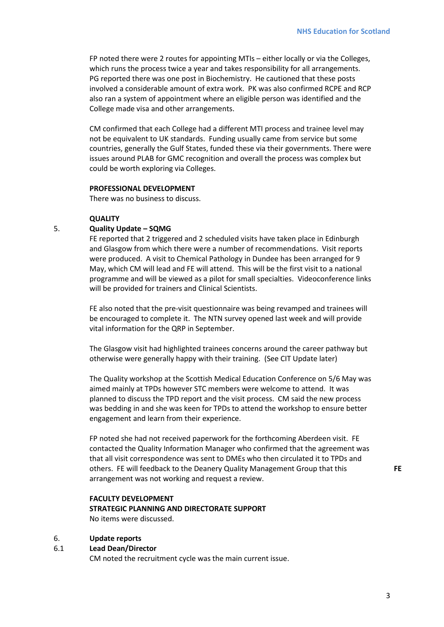FP noted there were 2 routes for appointing MTIs – either locally or via the Colleges, which runs the process twice a year and takes responsibility for all arrangements. PG reported there was one post in Biochemistry. He cautioned that these posts involved a considerable amount of extra work. PK was also confirmed RCPE and RCP also ran a system of appointment where an eligible person was identified and the College made visa and other arrangements.

CM confirmed that each College had a different MTI process and trainee level may not be equivalent to UK standards. Funding usually came from service but some countries, generally the Gulf States, funded these via their governments. There were issues around PLAB for GMC recognition and overall the process was complex but could be worth exploring via Colleges.

#### **PROFESSIONAL DEVELOPMENT**

There was no business to discuss.

#### **QUALITY**

### 5. **Quality Update – SQMG**

FE reported that 2 triggered and 2 scheduled visits have taken place in Edinburgh and Glasgow from which there were a number of recommendations. Visit reports were produced. A visit to Chemical Pathology in Dundee has been arranged for 9 May, which CM will lead and FE will attend. This will be the first visit to a national programme and will be viewed as a pilot for small specialties. Videoconference links will be provided for trainers and Clinical Scientists.

FE also noted that the pre-visit questionnaire was being revamped and trainees will be encouraged to complete it. The NTN survey opened last week and will provide vital information for the QRP in September.

The Glasgow visit had highlighted trainees concerns around the career pathway but otherwise were generally happy with their training. (See CIT Update later)

The Quality workshop at the Scottish Medical Education Conference on 5/6 May was aimed mainly at TPDs however STC members were welcome to attend. It was planned to discuss the TPD report and the visit process. CM said the new process was bedding in and she was keen for TPDs to attend the workshop to ensure better engagement and learn from their experience.

FP noted she had not received paperwork for the forthcoming Aberdeen visit. FE contacted the Quality Information Manager who confirmed that the agreement was that all visit correspondence was sent to DMEs who then circulated it to TPDs and others. FE will feedback to the Deanery Quality Management Group that this arrangement was not working and request a review.

# **FACULTY DEVELOPMENT**

**STRATEGIC PLANNING AND DIRECTORATE SUPPORT** No items were discussed.

### 6. **Update reports**

### 6.1 **Lead Dean/Director**

CM noted the recruitment cycle was the main current issue.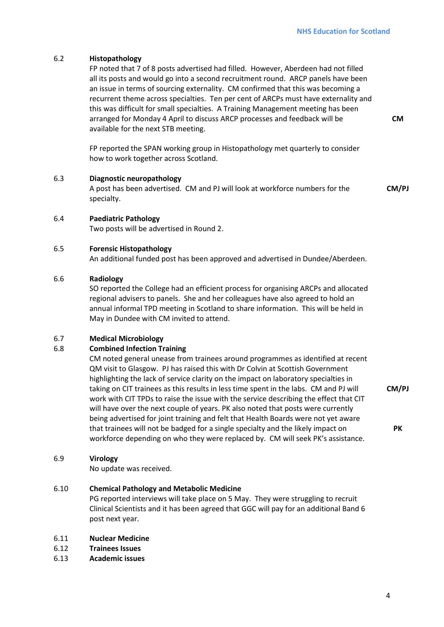**CM**

# 6.2 **Histopathology**

FP noted that 7 of 8 posts advertised had filled. However, Aberdeen had not filled all its posts and would go into a second recruitment round. ARCP panels have been an issue in terms of sourcing externality. CM confirmed that this was becoming a recurrent theme across specialties. Ten per cent of ARCPs must have externality and this was difficult for small specialties. A Training Management meeting has been arranged for Monday 4 April to discuss ARCP processes and feedback will be available for the next STB meeting.

FP reported the SPAN working group in Histopathology met quarterly to consider how to work together across Scotland.

6.3 **Diagnostic neuropathology** A post has been advertised. CM and PJ will look at workforce numbers for the specialty. **CM/PJ**

### 6.4 **Paediatric Pathology**

Two posts will be advertised in Round 2.

### 6.5 **Forensic Histopathology**

An additional funded post has been approved and advertised in Dundee/Aberdeen.

### 6.6 **Radiology**

SO reported the College had an efficient process for organising ARCPs and allocated regional advisers to panels. She and her colleagues have also agreed to hold an annual informal TPD meeting in Scotland to share information. This will be held in May in Dundee with CM invited to attend.

# 6.7 **Medical Microbiology**

### 6.8 **Combined Infection Training**

CM noted general unease from trainees around programmes as identified at recent QM visit to Glasgow. PJ has raised this with Dr Colvin at Scottish Government highlighting the lack of service clarity on the impact on laboratory specialties in taking on CIT trainees as this results in less time spent in the labs. CM and PJ will work with CIT TPDs to raise the issue with the service describing the effect that CIT will have over the next couple of years. PK also noted that posts were currently being advertised for joint training and felt that Health Boards were not yet aware that trainees will not be badged for a single specialty and the likely impact on workforce depending on who they were replaced by. CM will seek PK's assistance.

### 6.9 **Virology**

No update was received.

# 6.10 **Chemical Pathology and Metabolic Medicine**

PG reported interviews will take place on 5 May. They were struggling to recruit Clinical Scientists and it has been agreed that GGC will pay for an additional Band 6 post next year.

## 6.11 **Nuclear Medicine**

- 6.12 **Trainees Issues**
- 6.13 **Academic issues**

**CM/PJ**

**PK**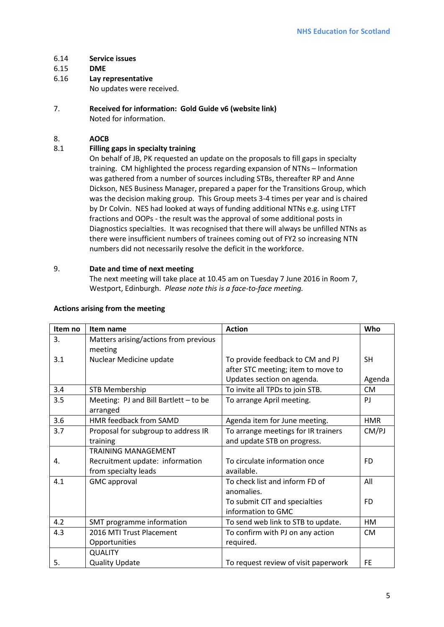- 6.14 **Service issues**
- 6.15 **DME**
- 6.16 **Lay representative**

No updates were received.

7. **Received for information: Gold Guide v6 (website link)** Noted for information.

# 8. **AOCB**

# 8.1 **Filling gaps in specialty training**

On behalf of JB, PK requested an update on the proposals to fill gaps in specialty training. CM highlighted the process regarding expansion of NTNs – Information was gathered from a number of sources including STBs, thereafter RP and Anne Dickson, NES Business Manager, prepared a paper for the Transitions Group, which was the decision making group. This Group meets 3-4 times per year and is chaired by Dr Colvin. NES had looked at ways of funding additional NTNs e.g. using LTFT fractions and OOPs - the result was the approval of some additional posts in Diagnostics specialties. It was recognised that there will always be unfilled NTNs as there were insufficient numbers of trainees coming out of FY2 so increasing NTN numbers did not necessarily resolve the deficit in the workforce.

### 9. **Date and time of next meeting**

The next meeting will take place at 10.45 am on Tuesday 7 June 2016 in Room 7, Westport, Edinburgh. *Please note this is a face-to-face meeting.*

| Item no | Item name                                         | <b>Action</b>                        | Who        |
|---------|---------------------------------------------------|--------------------------------------|------------|
| 3.      | Matters arising/actions from previous<br>meeting  |                                      |            |
| 3.1     | Nuclear Medicine update                           | To provide feedback to CM and PJ     | <b>SH</b>  |
|         |                                                   | after STC meeting; item to move to   |            |
|         |                                                   | Updates section on agenda.           | Agenda     |
| 3.4     | <b>STB Membership</b>                             | To invite all TPDs to join STB.      | <b>CM</b>  |
| 3.5     | Meeting: PJ and Bill Bartlett - to be<br>arranged | To arrange April meeting.            | PI         |
| 3.6     | HMR feedback from SAMD                            | Agenda item for June meeting.        | <b>HMR</b> |
| 3.7     | Proposal for subgroup to address IR               | To arrange meetings for IR trainers  | CM/PJ      |
|         | training                                          | and update STB on progress.          |            |
|         | <b>TRAINING MANAGEMENT</b>                        |                                      |            |
| 4.      | Recruitment update: information                   | To circulate information once        | FD.        |
|         | from specialty leads                              | available.                           |            |
| 4.1     | <b>GMC</b> approval                               | To check list and inform FD of       | All        |
|         |                                                   | anomalies.                           |            |
|         |                                                   | To submit CIT and specialties        | FD.        |
|         |                                                   | information to GMC                   |            |
| 4.2     | SMT programme information                         | To send web link to STB to update.   | HM         |
| 4.3     | 2016 MTI Trust Placement                          | To confirm with PJ on any action     | <b>CM</b>  |
|         | Opportunities                                     | required.                            |            |
|         | <b>QUALITY</b>                                    |                                      |            |
| 5.      | <b>Quality Update</b>                             | To request review of visit paperwork | <b>FE</b>  |

### **Actions arising from the meeting**